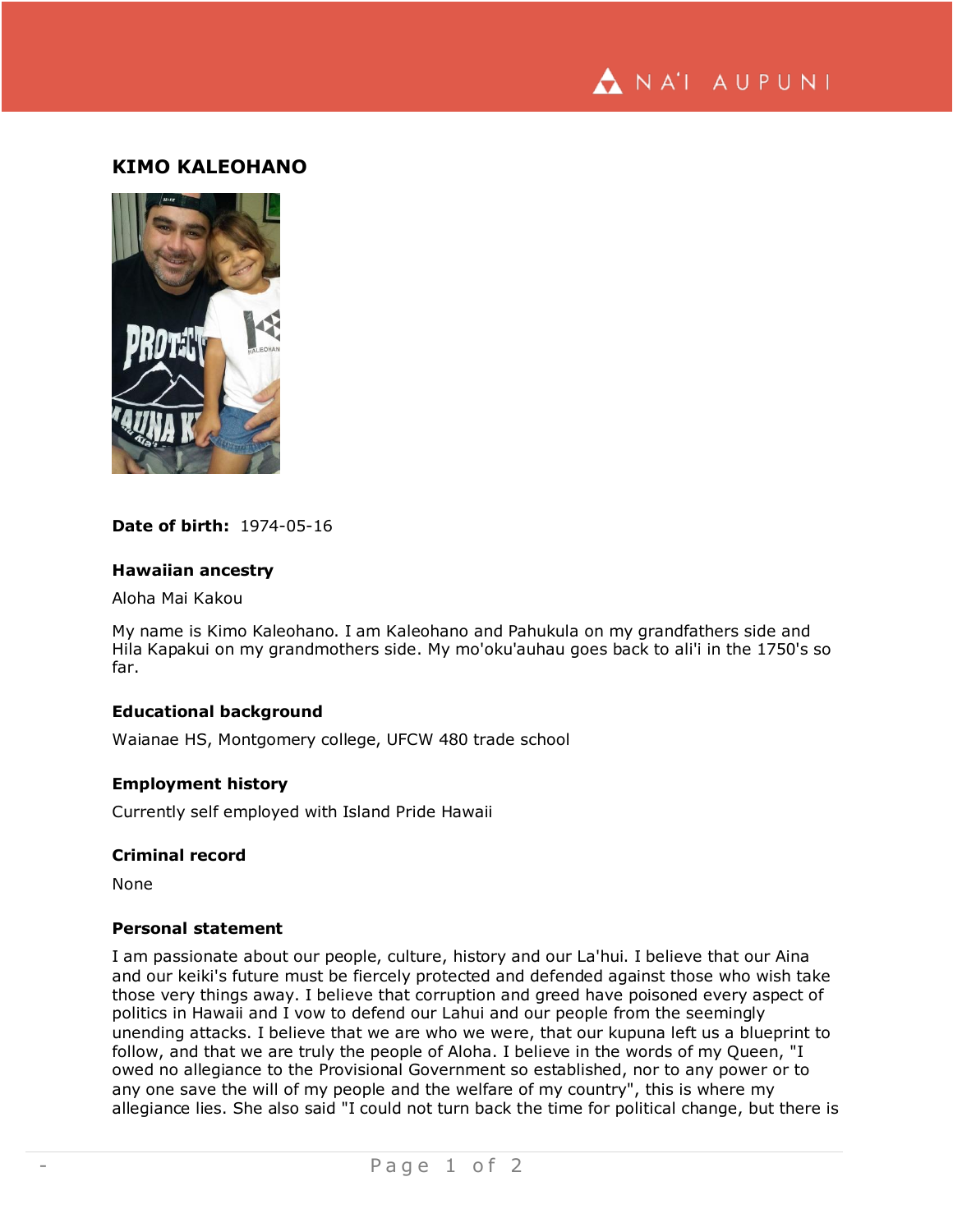

# **KIMO KALEOHANO**



# **Date of birth:** 1974-05-16

### **Hawaiian ancestry**

Aloha Mai Kakou

My name is Kimo Kaleohano. I am Kaleohano and Pahukula on my grandfathers side and Hila Kapakui on my grandmothers side. My mo'oku'auhau goes back to ali'i in the 1750's so far.

# **Educational background**

Waianae HS, Montgomery college, UFCW 480 trade school

### **Employment history**

Currently self employed with Island Pride Hawaii

# **Criminal record**

None

# **Personal statement**

I am passionate about our people, culture, history and our La'hui. I believe that our Aina and our keiki's future must be fiercely protected and defended against those who wish take those very things away. I believe that corruption and greed have poisoned every aspect of politics in Hawaii and I vow to defend our Lahui and our people from the seemingly unending attacks. I believe that we are who we were, that our kupuna left us a blueprint to follow, and that we are truly the people of Aloha. I believe in the words of my Queen, "I owed no allegiance to the Provisional Government so established, nor to any power or to any one save the will of my people and the welfare of my country", this is where my allegiance lies. She also said "I could not turn back the time for political change, but there is